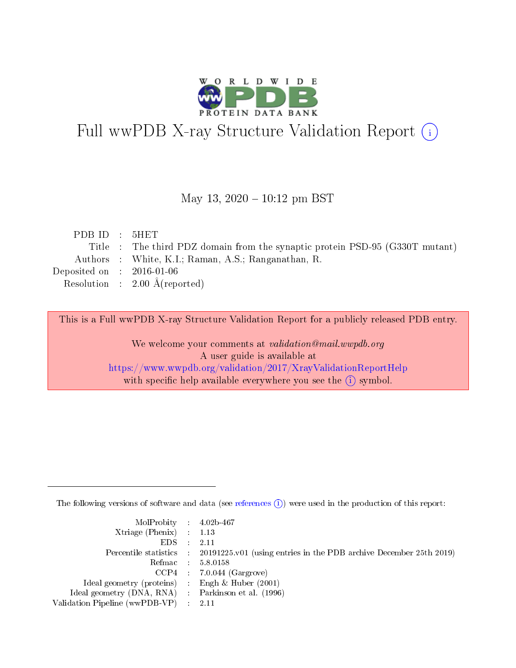

# Full wwPDB X-ray Structure Validation Report (i)

#### May 13,  $2020 - 10:12$  pm BST

| PDB ID : $5HET$             |                                                                              |
|-----------------------------|------------------------------------------------------------------------------|
|                             | Title : The third PDZ domain from the synaptic protein PSD-95 (G330T mutant) |
|                             | Authors : White, K.I.; Raman, A.S.; Ranganathan, R.                          |
| Deposited on : $2016-01-06$ |                                                                              |
|                             | Resolution : $2.00 \text{ Å}$ (reported)                                     |
|                             |                                                                              |

This is a Full wwPDB X-ray Structure Validation Report for a publicly released PDB entry.

We welcome your comments at validation@mail.wwpdb.org A user guide is available at <https://www.wwpdb.org/validation/2017/XrayValidationReportHelp> with specific help available everywhere you see the  $(i)$  symbol.

The following versions of software and data (see [references](https://www.wwpdb.org/validation/2017/XrayValidationReportHelp#references)  $(i)$ ) were used in the production of this report:

| $MolProbability$ 4.02b-467                          |                                                                                            |
|-----------------------------------------------------|--------------------------------------------------------------------------------------------|
| Xtriage (Phenix) $: 1.13$                           |                                                                                            |
| $EDS$ :                                             | -2.11                                                                                      |
|                                                     | Percentile statistics : 20191225.v01 (using entries in the PDB archive December 25th 2019) |
|                                                     | Refmac : 5.8.0158                                                                          |
|                                                     | $CCP4$ : 7.0.044 (Gargrove)                                                                |
| Ideal geometry (proteins) : Engh $\&$ Huber (2001)  |                                                                                            |
| Ideal geometry (DNA, RNA) : Parkinson et al. (1996) |                                                                                            |
| Validation Pipeline (wwPDB-VP)                      | -2.11                                                                                      |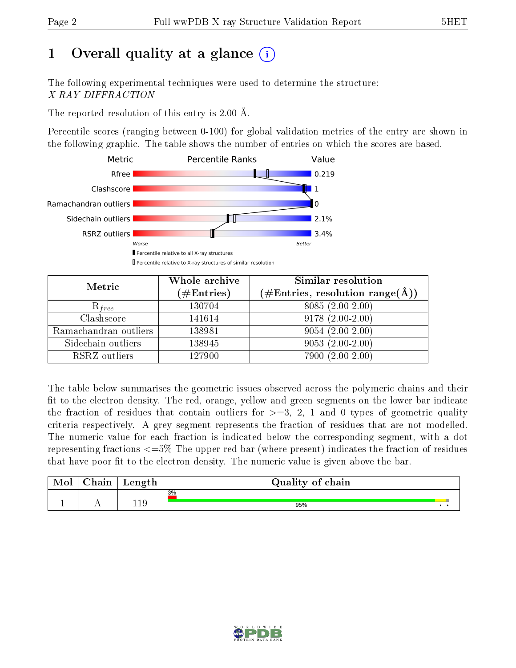# 1 [O](https://www.wwpdb.org/validation/2017/XrayValidationReportHelp#overall_quality)verall quality at a glance  $(i)$

The following experimental techniques were used to determine the structure: X-RAY DIFFRACTION

The reported resolution of this entry is 2.00 Å.

Percentile scores (ranging between 0-100) for global validation metrics of the entry are shown in the following graphic. The table shows the number of entries on which the scores are based.



| Metric                | Whole archive<br>$(\#\text{Entries})$ | Similar resolution<br>$(\#\text{Entries},\, \text{resolution}\; \text{range}(\textup{\AA}))$ |
|-----------------------|---------------------------------------|----------------------------------------------------------------------------------------------|
| $R_{free}$            | 130704                                | $8085(2.00-2.00)$                                                                            |
| Clashscore            | 141614                                | $9178(2.00-2.00)$                                                                            |
| Ramachandran outliers | 138981                                | $9054(2.00-2.00)$                                                                            |
| Sidechain outliers    | 138945                                | $9053(2.00-2.00)$                                                                            |
| RSRZ outliers         | 127900                                | 7900 (2.00-2.00)                                                                             |

The table below summarises the geometric issues observed across the polymeric chains and their fit to the electron density. The red, orange, yellow and green segments on the lower bar indicate the fraction of residues that contain outliers for  $>=3, 2, 1$  and 0 types of geometric quality criteria respectively. A grey segment represents the fraction of residues that are not modelled. The numeric value for each fraction is indicated below the corresponding segment, with a dot representing fractions  $\epsilon=5\%$  The upper red bar (where present) indicates the fraction of residues that have poor fit to the electron density. The numeric value is given above the bar.

| Mol | $\cap$ hain | Length     | Quality of chain |  |
|-----|-------------|------------|------------------|--|
|     |             |            | 3%               |  |
|     |             | 110<br>.⊥. | 95%              |  |

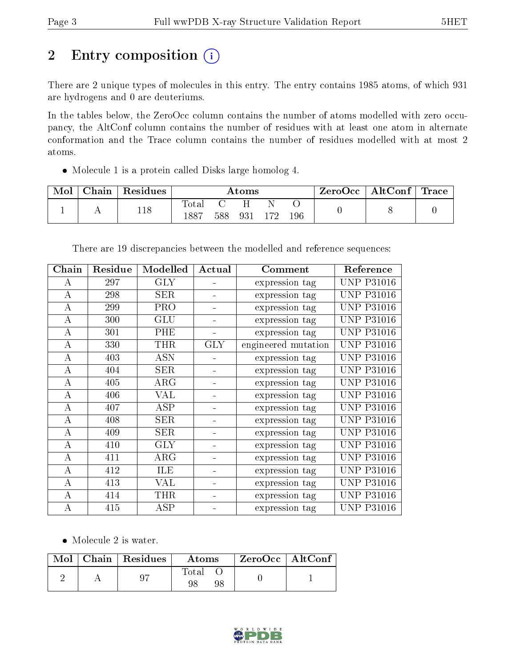# 2 Entry composition (i)

There are 2 unique types of molecules in this entry. The entry contains 1985 atoms, of which 931 are hydrogens and 0 are deuteriums.

In the tables below, the ZeroOcc column contains the number of atoms modelled with zero occupancy, the AltConf column contains the number of residues with at least one atom in alternate conformation and the Trace column contains the number of residues modelled with at most 2 atoms.

Molecule 1 is a protein called Disks large homolog 4.

| Mol | Chain | Residues | $\rm{Atoms}$             |     |     |     |     | ZeroOcc∣ | $\mid$ AltConf $\mid$ Trace $\mid$ |  |
|-----|-------|----------|--------------------------|-----|-----|-----|-----|----------|------------------------------------|--|
|     | . .   | 118      | $\mathrm{Tota}.$<br>1887 | 588 | 931 | 179 | 196 |          |                                    |  |

| Chain            | Residue | Modelled   | Actual     | Comment             |                   |
|------------------|---------|------------|------------|---------------------|-------------------|
| А                | 297     | <b>GLY</b> |            | expression tag      | <b>UNP P31016</b> |
| $\boldsymbol{A}$ | 298     | <b>SER</b> |            | expression tag      | <b>UNP P31016</b> |
| А                | 299     | <b>PRO</b> |            | expression tag      | <b>UNP P31016</b> |
| $\bf{A}$         | 300     | <b>GLU</b> |            | expression tag      | <b>UNP P31016</b> |
| А                | 301     | PHE        |            | expression tag      | <b>UNP P31016</b> |
| $\bf{A}$         | 330     | <b>THR</b> | <b>GLY</b> | engineered mutation | <b>UNP P31016</b> |
| $\bf{A}$         | 403     | <b>ASN</b> |            | expression tag      | <b>UNP P31016</b> |
| A                | 404     | <b>SER</b> |            | expression tag      | <b>UNP P31016</b> |
| $\boldsymbol{A}$ | 405     | ARG        |            | expression tag      | <b>UNP P31016</b> |
| А                | 406     | <b>VAL</b> |            | expression tag      | <b>UNP P31016</b> |
| A                | 407     | ASP        |            | expression tag      | <b>UNP P31016</b> |
| A                | 408     | <b>SER</b> |            | expression tag      | <b>UNP P31016</b> |
| A                | 409     | <b>SER</b> |            | expression tag      | <b>UNP P31016</b> |
| $\bf{A}$         | 410     | <b>GLY</b> |            | expression tag      | <b>UNP P31016</b> |
| A                | 411     | $\rm{ARG}$ |            | expression tag      | <b>UNP P31016</b> |
| $\bf{A}$         | 412     | ILE        |            | expression tag      | <b>UNP P31016</b> |
| $\boldsymbol{A}$ | 413     | <b>VAL</b> |            | expression tag      | <b>UNP P31016</b> |
| A                | 414     | <b>THR</b> |            | expression tag      | <b>UNP P31016</b> |
| А                | 415     | ASP        |            | expression tag      | <b>UNP P31016</b> |

There are 19 discrepancies between the modelled and reference sequences:

• Molecule 2 is water.

|  | $Mol$   Chain   Residues | Atoms             | $ZeroOcc \   \ AltConf \  $ |  |
|--|--------------------------|-------------------|-----------------------------|--|
|  |                          | Total<br>98<br>98 |                             |  |

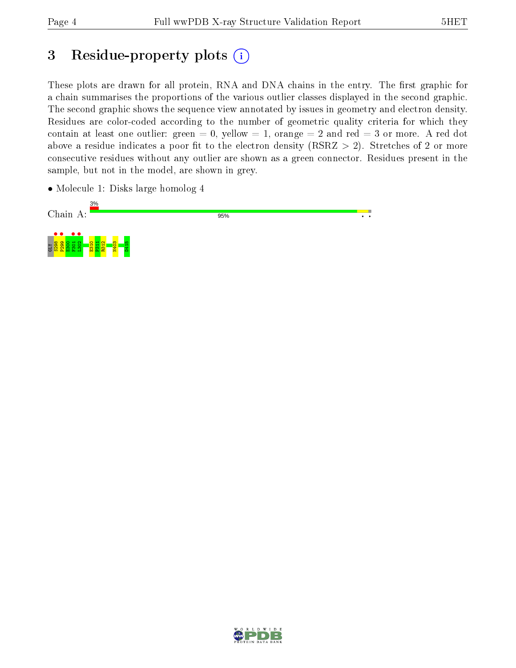## 3 Residue-property plots  $(i)$

These plots are drawn for all protein, RNA and DNA chains in the entry. The first graphic for a chain summarises the proportions of the various outlier classes displayed in the second graphic. The second graphic shows the sequence view annotated by issues in geometry and electron density. Residues are color-coded according to the number of geometric quality criteria for which they contain at least one outlier: green  $= 0$ , yellow  $= 1$ , orange  $= 2$  and red  $= 3$  or more. A red dot above a residue indicates a poor fit to the electron density (RSRZ  $> 2$ ). Stretches of 2 or more consecutive residues without any outlier are shown as a green connector. Residues present in the sample, but not in the model, are shown in grey.

• Molecule 1: Disks large homolog 4



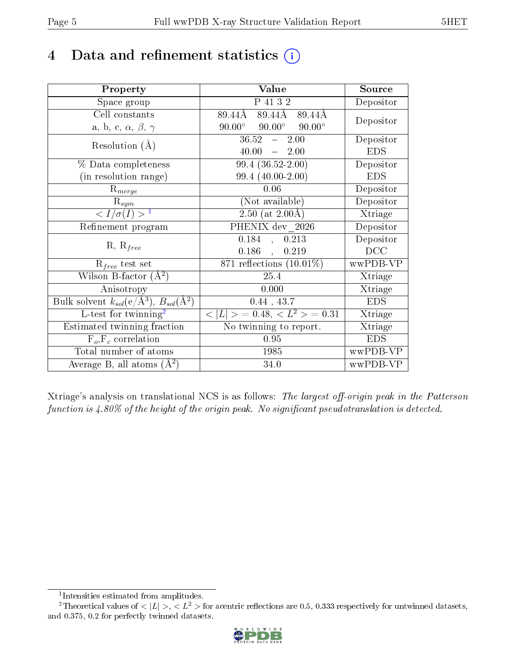## 4 Data and refinement statistics  $(i)$

| Property                                                                 | Value                                           | Source     |
|--------------------------------------------------------------------------|-------------------------------------------------|------------|
| Space group                                                              | P 41 3 2                                        | Depositor  |
| Cell constants                                                           | 89.44Å<br>89.44Å<br>89.44Å                      |            |
| a, b, c, $\alpha$ , $\beta$ , $\gamma$                                   | $90.00^\circ$<br>$90.00^\circ$<br>$90.00^\circ$ | Depositor  |
| Resolution $(A)$                                                         | $36.52 - 2.00$                                  | Depositor  |
|                                                                          | 40.00<br>$-2.00$                                | <b>EDS</b> |
| $\%$ Data completeness                                                   | $99.4(36.52-2.00)$                              | Depositor  |
| (in resolution range)                                                    | 99.4 (40.00-2.00)                               | <b>EDS</b> |
| $R_{merge}$                                                              | 0.06                                            | Depositor  |
| $\mathrm{R}_{sym}$                                                       | (Not available)                                 | Depositor  |
| $\langle I/\sigma(I) \rangle^{-1}$                                       | $2.50$ (at $2.00\text{\AA}$ )                   | Xtriage    |
| Refinement program                                                       | $\overline{\mathrm{PHENIX}}$ dev 2026           | Depositor  |
| $R, R_{free}$                                                            | 0.184<br>0.213<br>$\mathcal{L}_{\mathcal{F}}$   | Depositor  |
|                                                                          | $0.186$ ,<br>0.219                              | DCC        |
| $\mathcal{R}_{free}$ test set                                            | 871 reflections $(10.01\%)$                     | wwPDB-VP   |
| Wilson B-factor $(A^2)$                                                  | 25.4                                            | Xtriage    |
| Anisotropy                                                               | 0.000                                           | Xtriage    |
| Bulk solvent $k_{sol}(\mathrm{e}/\mathrm{A}^3),$ $B_{sol}(\mathrm{A}^2)$ | $0.44$ , 43.7                                   | <b>EDS</b> |
| L-test for twinning <sup>2</sup>                                         | $< L >$ = 0.48, $< L2 >$ = 0.31                 | Xtriage    |
| Estimated twinning fraction                                              | $\overline{\text{No}}$ twinning to report.      | Xtriage    |
| $F_o, F_c$ correlation                                                   | 0.95                                            | <b>EDS</b> |
| Total number of atoms                                                    | 1985                                            | wwPDB-VP   |
| Average B, all atoms $(A^2)$                                             | 34.0                                            | wwPDB-VP   |

Xtriage's analysis on translational NCS is as follows: The largest off-origin peak in the Patterson function is  $4.80\%$  of the height of the origin peak. No significant pseudotranslation is detected.

<sup>&</sup>lt;sup>2</sup>Theoretical values of  $\langle |L| \rangle$ ,  $\langle L^2 \rangle$  for acentric reflections are 0.5, 0.333 respectively for untwinned datasets, and 0.375, 0.2 for perfectly twinned datasets.



<span id="page-4-1"></span><span id="page-4-0"></span><sup>1</sup> Intensities estimated from amplitudes.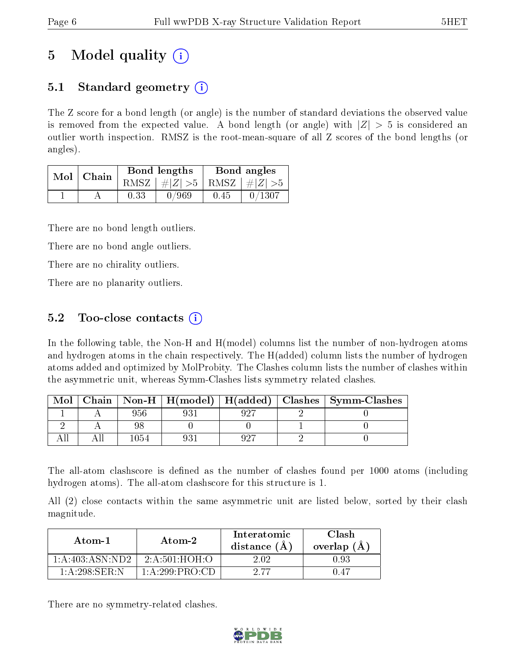## 5 Model quality  $(i)$

## 5.1 Standard geometry  $(i)$

The Z score for a bond length (or angle) is the number of standard deviations the observed value is removed from the expected value. A bond length (or angle) with  $|Z| > 5$  is considered an outlier worth inspection. RMSZ is the root-mean-square of all Z scores of the bond lengths (or angles).

| Mol   Chain |      | Bond lengths                    | Bond angles |        |  |
|-------------|------|---------------------------------|-------------|--------|--|
|             |      | RMSZ $ #Z  > 5$ RMSZ $ #Z  > 5$ |             |        |  |
|             | 0.33 | 0/969                           | 0.45        | 0/1307 |  |

There are no bond length outliers.

There are no bond angle outliers.

There are no chirality outliers.

There are no planarity outliers.

### 5.2 Too-close contacts  $\overline{()}$

In the following table, the Non-H and H(model) columns list the number of non-hydrogen atoms and hydrogen atoms in the chain respectively. The H(added) column lists the number of hydrogen atoms added and optimized by MolProbity. The Clashes column lists the number of clashes within the asymmetric unit, whereas Symm-Clashes lists symmetry related clashes.

| Mol |     |  | Chain   Non-H   H(model)   H(added)   Clashes   Symm-Clashes |
|-----|-----|--|--------------------------------------------------------------|
|     | 956 |  |                                                              |
|     |     |  |                                                              |
|     |     |  |                                                              |

The all-atom clashscore is defined as the number of clashes found per 1000 atoms (including hydrogen atoms). The all-atom clashscore for this structure is 1.

All (2) close contacts within the same asymmetric unit are listed below, sorted by their clash magnitude.

| Atom-1              | Atom-2                         | Interatomic<br>distance (A | Clash<br>overlap $(A)$ |  |
|---------------------|--------------------------------|----------------------------|------------------------|--|
| 1: A: 403: ASN: ND2 | 2: A:501:HOH:O                 | 2.02.                      | 0.93                   |  |
| $1:A:298:$ SER $N$  | $1: A: 299 \cdot PRO \cdot CD$ | 2.77                       | 0.47                   |  |

There are no symmetry-related clashes.

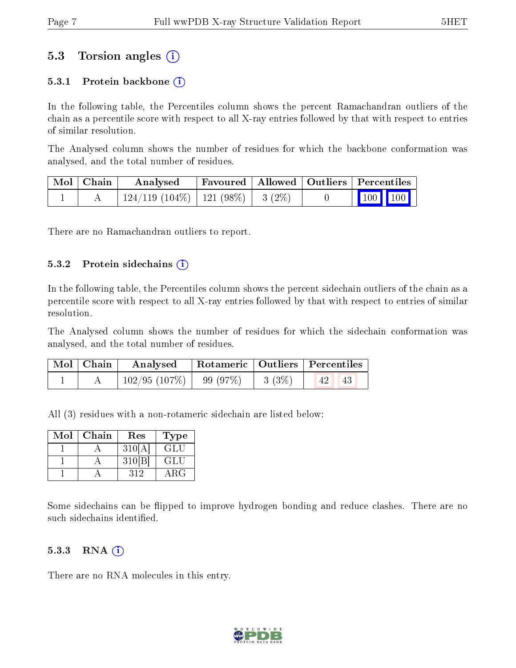### 5.3 Torsion angles (i)

#### 5.3.1 Protein backbone  $(i)$

In the following table, the Percentiles column shows the percent Ramachandran outliers of the chain as a percentile score with respect to all X-ray entries followed by that with respect to entries of similar resolution.

The Analysed column shows the number of residues for which the backbone conformation was analysed, and the total number of residues.

| Mol   Chain | Analysed                                 |  | Favoured   Allowed   Outliers   Percentiles                  |
|-------------|------------------------------------------|--|--------------------------------------------------------------|
|             | $124/119$ (104\%)   121 (98\%)   3 (2\%) |  | $\begin{array}{ c c c c c }\n\hline\n100 & 100\n\end{array}$ |

There are no Ramachandran outliers to report.

#### $5.3.2$  Protein sidechains  $(i)$

In the following table, the Percentiles column shows the percent sidechain outliers of the chain as a percentile score with respect to all X-ray entries followed by that with respect to entries of similar resolution.

The Analysed column shows the number of residues for which the sidechain conformation was analysed, and the total number of residues.

| Mol   Chain | Analysed   Rotameric   Outliers   Percentiles |  |            |
|-------------|-----------------------------------------------|--|------------|
|             | $102/95$ (107\%)   99 (97\%)   3 (3\%)        |  | 42 <br>-43 |

All (3) residues with a non-rotameric sidechain are listed below:

| Mol | Chain | $\operatorname{Res}% \left( \mathcal{N}\right) \equiv\operatorname{Res}(\mathcal{N}_{0})\cap\mathcal{N}_{1}$ | Type                       |
|-----|-------|--------------------------------------------------------------------------------------------------------------|----------------------------|
|     |       | 310                                                                                                          | GLI.                       |
|     |       | 310[B]                                                                                                       | GLU                        |
|     |       | 319                                                                                                          | $\mathcal{B}^{\mathbf{G}}$ |

Some sidechains can be flipped to improve hydrogen bonding and reduce clashes. There are no such sidechains identified.

#### $5.3.3$  RNA  $(i)$

There are no RNA molecules in this entry.

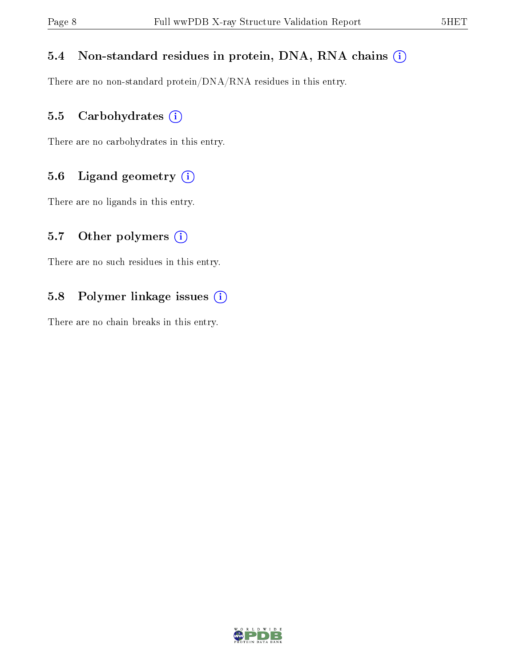#### 5.4 Non-standard residues in protein, DNA, RNA chains (i)

There are no non-standard protein/DNA/RNA residues in this entry.

#### 5.5 Carbohydrates (i)

There are no carbohydrates in this entry.

### 5.6 Ligand geometry (i)

There are no ligands in this entry.

#### 5.7 [O](https://www.wwpdb.org/validation/2017/XrayValidationReportHelp#nonstandard_residues_and_ligands)ther polymers  $(i)$

There are no such residues in this entry.

#### 5.8 Polymer linkage issues (i)

There are no chain breaks in this entry.